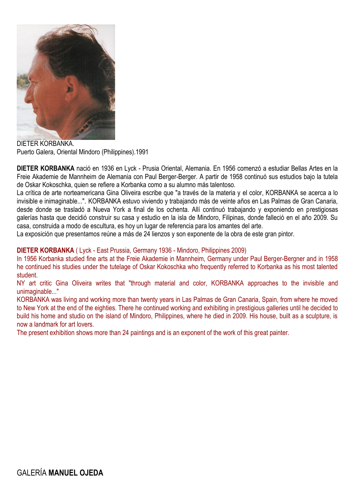

DIETER KORBANKA. Puerto Galera, Oriental Mindoro (Philippines).1991

**DIETER KORBANKA** nació en 1936 en Lyck - Prusia Oriental, Alemania. En 1956 comenzó a estudiar Bellas Artes en la Freie Akademie de Mannheim de Alemania con Paul Berger-Berger. A partir de 1958 continuó sus estudios bajo la tutela de Oskar Kokoschka, quien se refiere a Korbanka como a su alumno más talentoso.

La crítica de arte norteamericana Gina Oliveira escribe que "a través de la materia y el color, KORBANKA se acerca a lo invisible e inimaginable...". KORBANKA estuvo viviendo y trabajando más de veinte años en Las Palmas de Gran Canaria, desde donde se trasladó a Nueva York a final de los ochenta. Allí continuó trabajando y exponiendo en prestigiosas galerías hasta que decidió construir su casa y estudio en la isla de Mindoro, Filipinas, donde falleció en el año 2009. Su casa, construida a modo de escultura, es hoy un lugar de referencia para los amantes del arte.

La exposición que presentamos reúne a más de 24 lienzos y son exponente de la obra de este gran pintor.

## **DIETER KORBANKA** ( Lyck - East Prussia, Germany 1936 - Mindoro, Philippines 2009)

In 1956 Korbanka studied fine arts at the Freie Akademie in Mannheim, Germany under Paul Berger-Bergner and in 1958 he continued his studies under the tutelage of Oskar Kokoschka who frequently referred to Korbanka as his most talented student.

NY art critic Gina Oliveira writes that "through material and color, KORBANKA approaches to the invisible and unimaginable..."

KORBANKA was living and working more than twenty years in Las Palmas de Gran Canaria, Spain, from where he moved to New York at the end of the eighties. There he continued working and exhibiting in prestigious galleries until he decided to build his home and studio on the island of Mindoro, Philippines, where he died in 2009. His house, built as a sculpture, is now a landmark for art lovers.

The present exhibition shows more than 24 paintings and is an exponent of the work of this great painter.